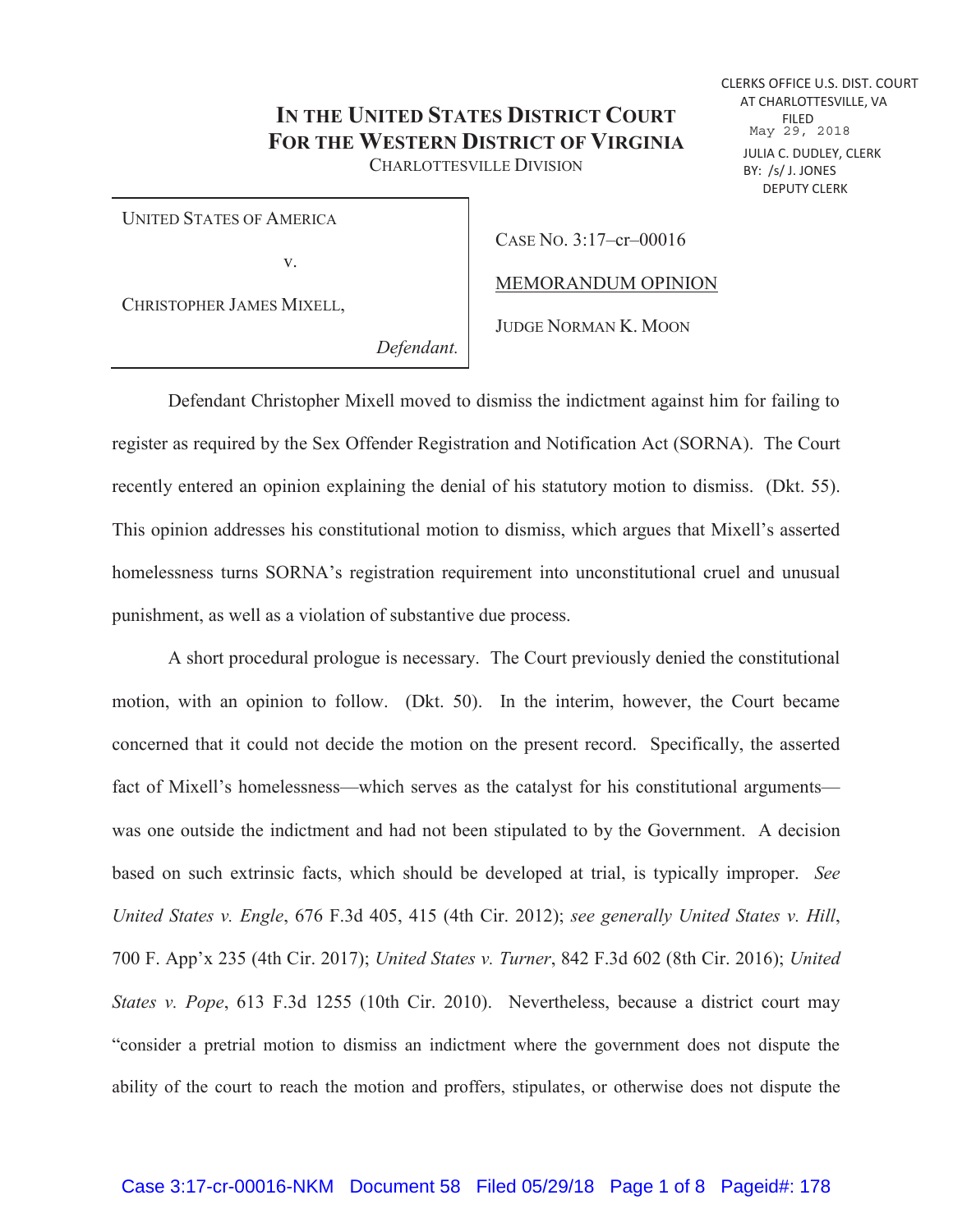## **IN THE UNITED STATES DISTRICT COURT FOR THE WESTERN DISTRICT OF VIRGINIA** CHARLOTTESVILLE DIVISION

UNITED STATES OF AMERICA

v.

CASE NO. 3:17–cr–00016

MEMORANDUM OPINION

CHRISTOPHER JAMES MIXELL,

JUDGE NORMAN K. MOON

*Defendant.* 

Defendant Christopher Mixell moved to dismiss the indictment against him for failing to register as required by the Sex Offender Registration and Notification Act (SORNA). The Court recently entered an opinion explaining the denial of his statutory motion to dismiss. (Dkt. 55). This opinion addresses his constitutional motion to dismiss, which argues that Mixell's asserted homelessness turns SORNA's registration requirement into unconstitutional cruel and unusual punishment, as well as a violation of substantive due process.

A short procedural prologue is necessary. The Court previously denied the constitutional motion, with an opinion to follow. (Dkt. 50). In the interim, however, the Court became concerned that it could not decide the motion on the present record. Specifically, the asserted fact of Mixell's homelessness—which serves as the catalyst for his constitutional arguments was one outside the indictment and had not been stipulated to by the Government. A decision based on such extrinsic facts, which should be developed at trial, is typically improper. *See United States v. Engle*, 676 F.3d 405, 415 (4th Cir. 2012); *see generally United States v. Hill*, 700 F. App'x 235 (4th Cir. 2017); *United States v. Turner*, 842 F.3d 602 (8th Cir. 2016); *United States v. Pope*, 613 F.3d 1255 (10th Cir. 2010). Nevertheless, because a district court may "consider a pretrial motion to dismiss an indictment where the government does not dispute the ability of the court to reach the motion and proffers, stipulates, or otherwise does not dispute the

DEPUTY CLERK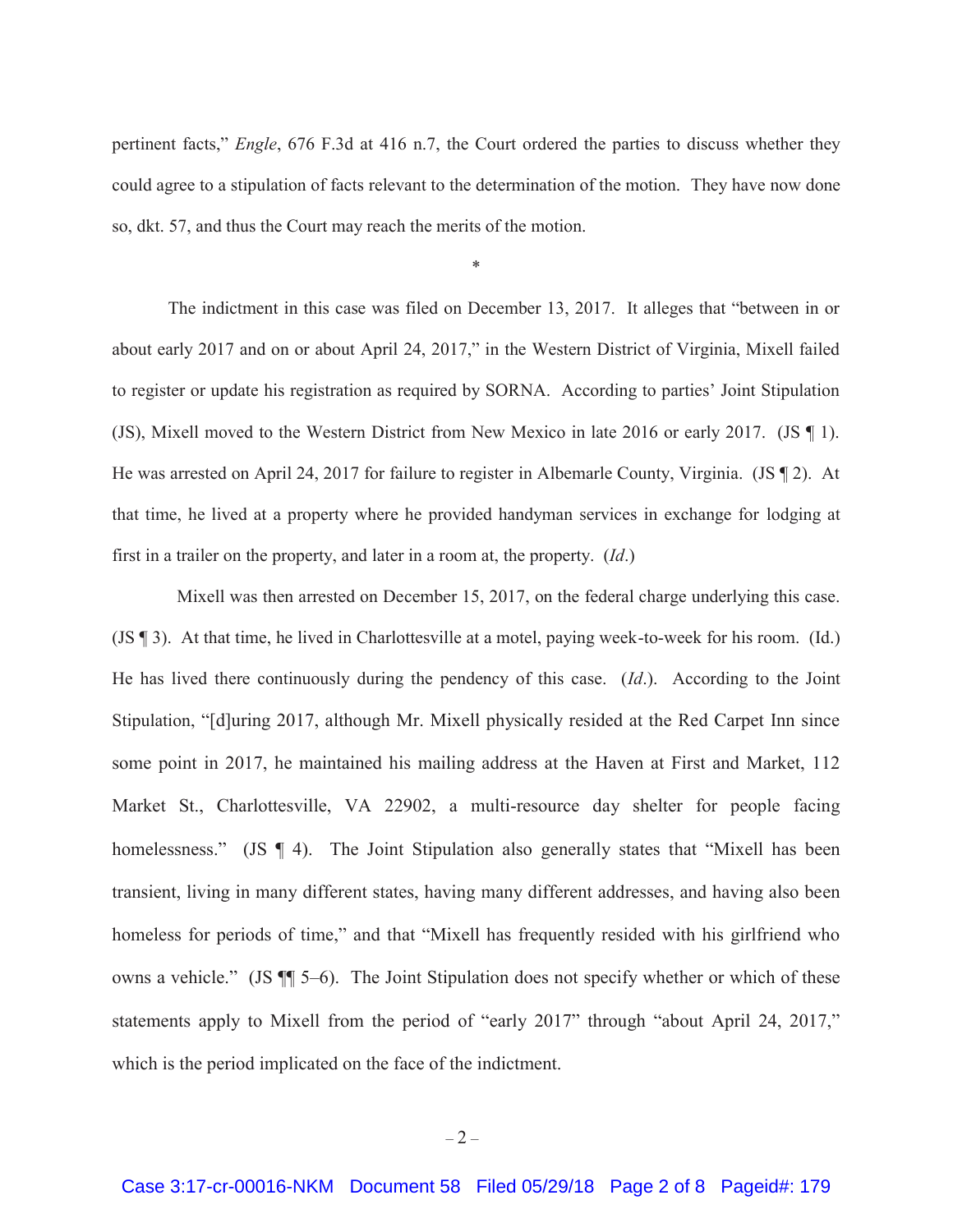pertinent facts," *Engle*, 676 F.3d at 416 n.7, the Court ordered the parties to discuss whether they could agree to a stipulation of facts relevant to the determination of the motion. They have now done so, dkt. 57, and thus the Court may reach the merits of the motion.

\*

The indictment in this case was filed on December 13, 2017. It alleges that "between in or about early 2017 and on or about April 24, 2017," in the Western District of Virginia, Mixell failed to register or update his registration as required by SORNA. According to parties' Joint Stipulation (JS), Mixell moved to the Western District from New Mexico in late 2016 or early 2017. (JS ¶ 1). He was arrested on April 24, 2017 for failure to register in Albemarle County, Virginia. (JS ¶ 2). At that time, he lived at a property where he provided handyman services in exchange for lodging at first in a trailer on the property, and later in a room at, the property. (*Id*.)

 Mixell was then arrested on December 15, 2017, on the federal charge underlying this case. (JS ¶ 3). At that time, he lived in Charlottesville at a motel, paying week-to-week for his room. (Id.) He has lived there continuously during the pendency of this case. (*Id*.). According to the Joint Stipulation, "[d]uring 2017, although Mr. Mixell physically resided at the Red Carpet Inn since some point in 2017, he maintained his mailing address at the Haven at First and Market, 112 Market St., Charlottesville, VA 22902, a multi-resource day shelter for people facing homelessness." (JS ¶ 4). The Joint Stipulation also generally states that "Mixell has been transient, living in many different states, having many different addresses, and having also been homeless for periods of time," and that "Mixell has frequently resided with his girlfriend who owns a vehicle." (JS ¶¶ 5–6). The Joint Stipulation does not specify whether or which of these statements apply to Mixell from the period of "early 2017" through "about April 24, 2017," which is the period implicated on the face of the indictment.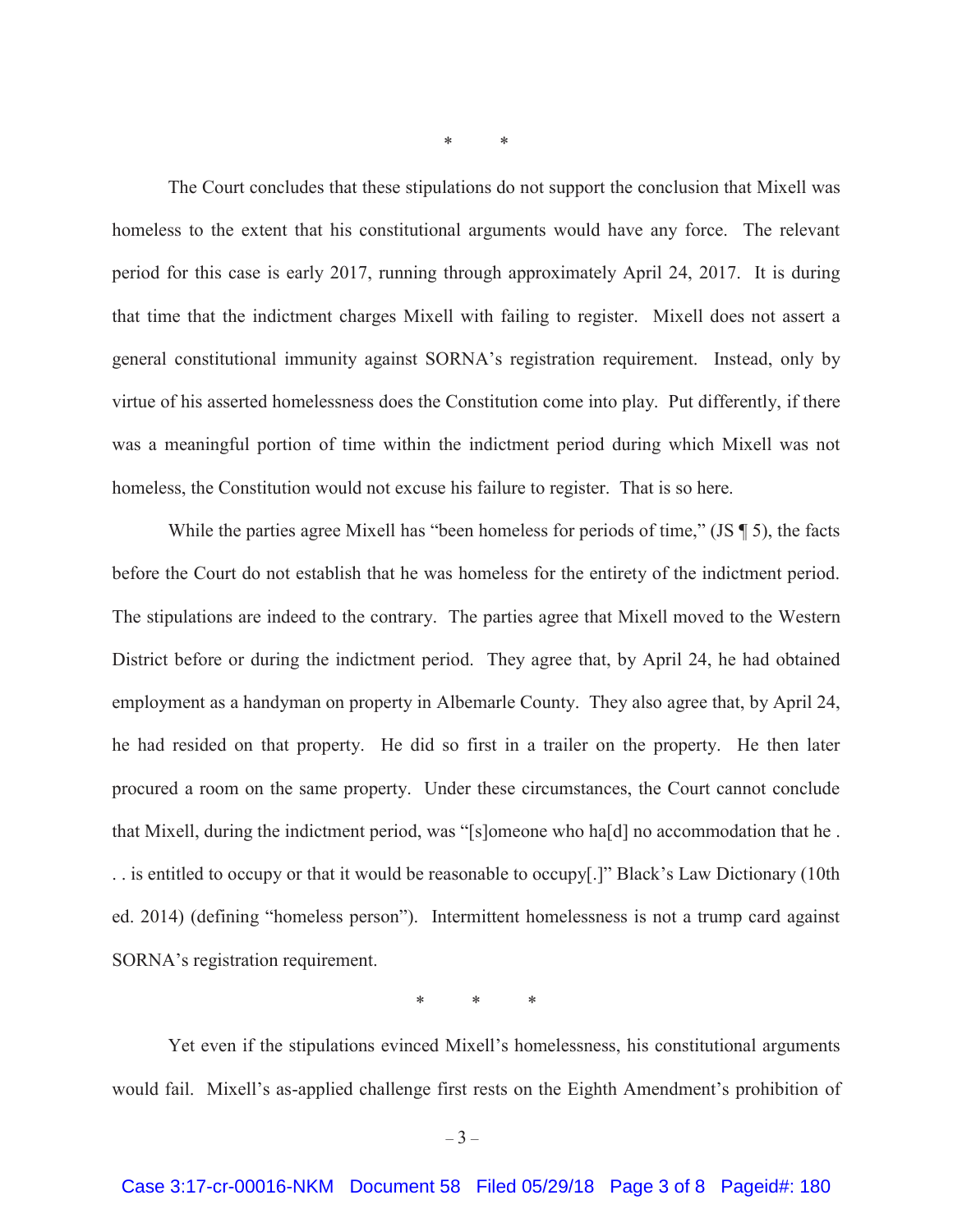\* \*

The Court concludes that these stipulations do not support the conclusion that Mixell was homeless to the extent that his constitutional arguments would have any force. The relevant period for this case is early 2017, running through approximately April 24, 2017. It is during that time that the indictment charges Mixell with failing to register. Mixell does not assert a general constitutional immunity against SORNA's registration requirement. Instead, only by virtue of his asserted homelessness does the Constitution come into play. Put differently, if there was a meaningful portion of time within the indictment period during which Mixell was not homeless, the Constitution would not excuse his failure to register. That is so here.

While the parties agree Mixell has "been homeless for periods of time," (JS \ine 5), the facts before the Court do not establish that he was homeless for the entirety of the indictment period. The stipulations are indeed to the contrary. The parties agree that Mixell moved to the Western District before or during the indictment period. They agree that, by April 24, he had obtained employment as a handyman on property in Albemarle County. They also agree that, by April 24, he had resided on that property. He did so first in a trailer on the property. He then later procured a room on the same property. Under these circumstances, the Court cannot conclude that Mixell, during the indictment period, was "[s]omeone who ha[d] no accommodation that he . . . is entitled to occupy or that it would be reasonable to occupy[.]" Black's Law Dictionary (10th ed. 2014) (defining "homeless person"). Intermittent homelessness is not a trump card against SORNA's registration requirement.

\* \* \*

Yet even if the stipulations evinced Mixell's homelessness, his constitutional arguments would fail. Mixell's as-applied challenge first rests on the Eighth Amendment's prohibition of

 $-3-$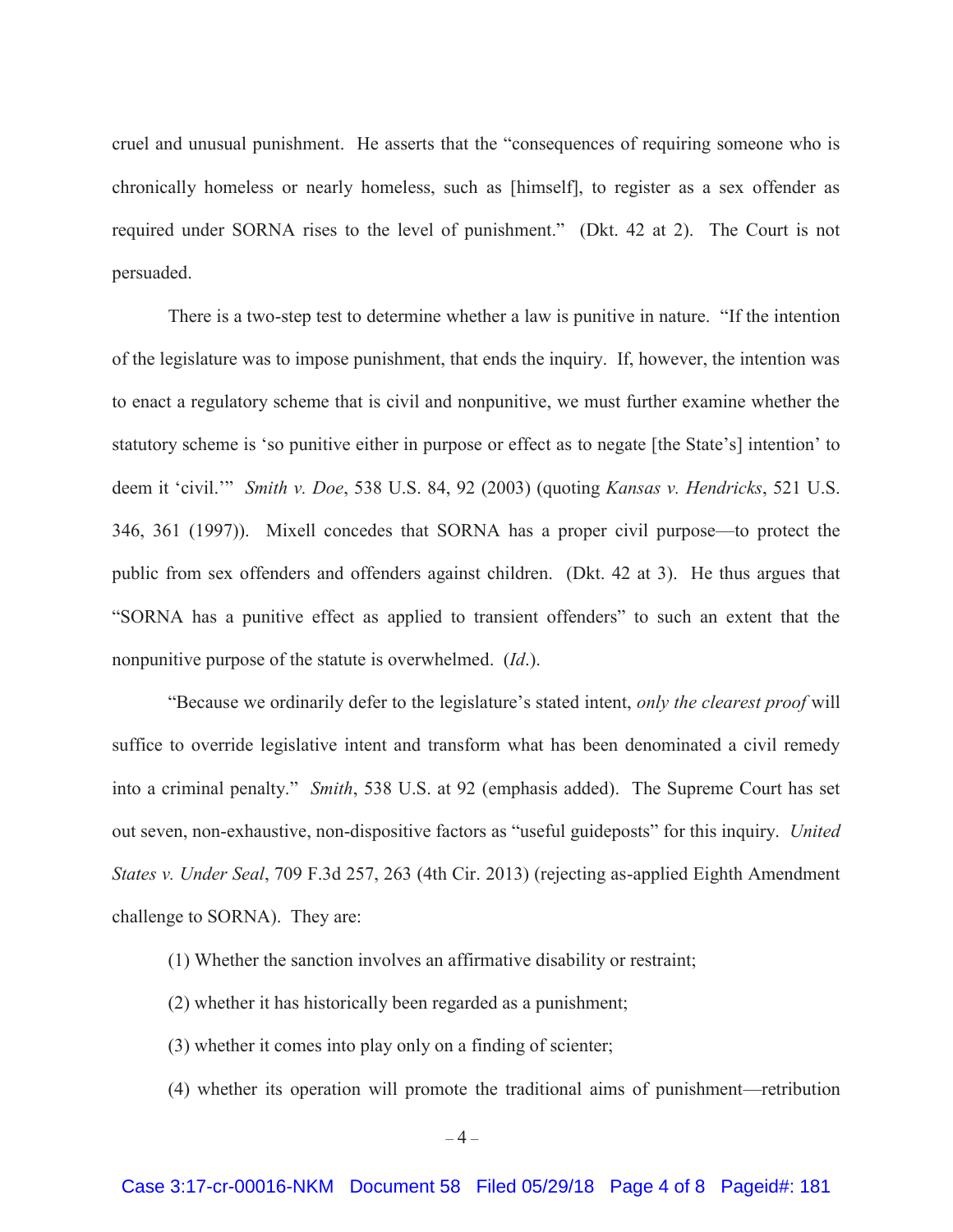cruel and unusual punishment. He asserts that the "consequences of requiring someone who is chronically homeless or nearly homeless, such as [himself], to register as a sex offender as required under SORNA rises to the level of punishment." (Dkt. 42 at 2). The Court is not persuaded.

There is a two-step test to determine whether a law is punitive in nature. "If the intention of the legislature was to impose punishment, that ends the inquiry. If, however, the intention was to enact a regulatory scheme that is civil and nonpunitive, we must further examine whether the statutory scheme is 'so punitive either in purpose or effect as to negate [the State's] intention' to deem it 'civil.'" *Smith v. Doe*, 538 U.S. 84, 92 (2003) (quoting *Kansas v. Hendricks*, 521 U.S. 346, 361 (1997)). Mixell concedes that SORNA has a proper civil purpose—to protect the public from sex offenders and offenders against children. (Dkt. 42 at 3). He thus argues that "SORNA has a punitive effect as applied to transient offenders" to such an extent that the nonpunitive purpose of the statute is overwhelmed. (*Id*.).

"Because we ordinarily defer to the legislature's stated intent, *only the clearest proof* will suffice to override legislative intent and transform what has been denominated a civil remedy into a criminal penalty." *Smith*, 538 U.S. at 92 (emphasis added). The Supreme Court has set out seven, non-exhaustive, non-dispositive factors as "useful guideposts" for this inquiry. *United States v. Under Seal*, 709 F.3d 257, 263 (4th Cir. 2013) (rejecting as-applied Eighth Amendment challenge to SORNA). They are:

- (1) Whether the sanction involves an affirmative disability or restraint;
- (2) whether it has historically been regarded as a punishment;
- (3) whether it comes into play only on a finding of scienter;
- (4) whether its operation will promote the traditional aims of punishment—retribution

 $-4-$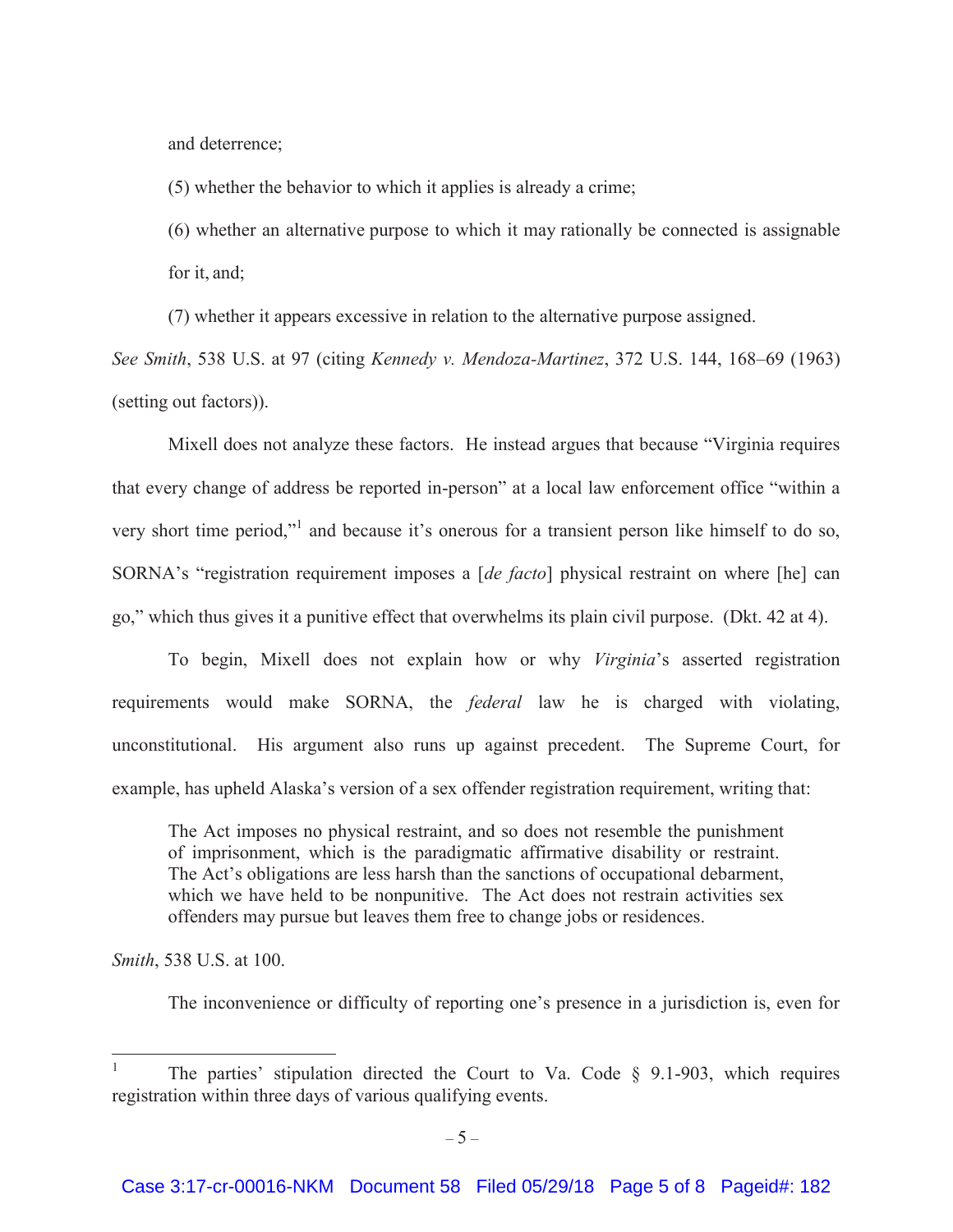and deterrence;

(5) whether the behavior to which it applies is already a crime;

(6) whether an alternative purpose to which it may rationally be connected is assignable for it, and;

(7) whether it appears excessive in relation to the alternative purpose assigned.

*See Smith*, 538 U.S. at 97 (citing *Kennedy v. Mendoza-Martinez*, 372 U.S. 144, 168–69 (1963) (setting out factors)).

 Mixell does not analyze these factors. He instead argues that because "Virginia requires that every change of address be reported in-person" at a local law enforcement office "within a very short time period,"<sup>1</sup> and because it's onerous for a transient person like himself to do so, SORNA's "registration requirement imposes a [*de facto*] physical restraint on where [he] can go," which thus gives it a punitive effect that overwhelms its plain civil purpose. (Dkt. 42 at 4).

 To begin, Mixell does not explain how or why *Virginia*'s asserted registration requirements would make SORNA, the *federal* law he is charged with violating, unconstitutional. His argument also runs up against precedent. The Supreme Court, for example, has upheld Alaska's version of a sex offender registration requirement, writing that:

The Act imposes no physical restraint, and so does not resemble the punishment of imprisonment, which is the paradigmatic affirmative disability or restraint. The Act's obligations are less harsh than the sanctions of occupational debarment, which we have held to be nonpunitive. The Act does not restrain activities sex offenders may pursue but leaves them free to change jobs or residences.

*Smith*, 538 U.S. at 100.

 $\overline{a}$ 

The inconvenience or difficulty of reporting one's presence in a jurisdiction is, even for

<sup>1</sup> The parties' stipulation directed the Court to Va. Code § 9.1-903, which requires registration within three days of various qualifying events.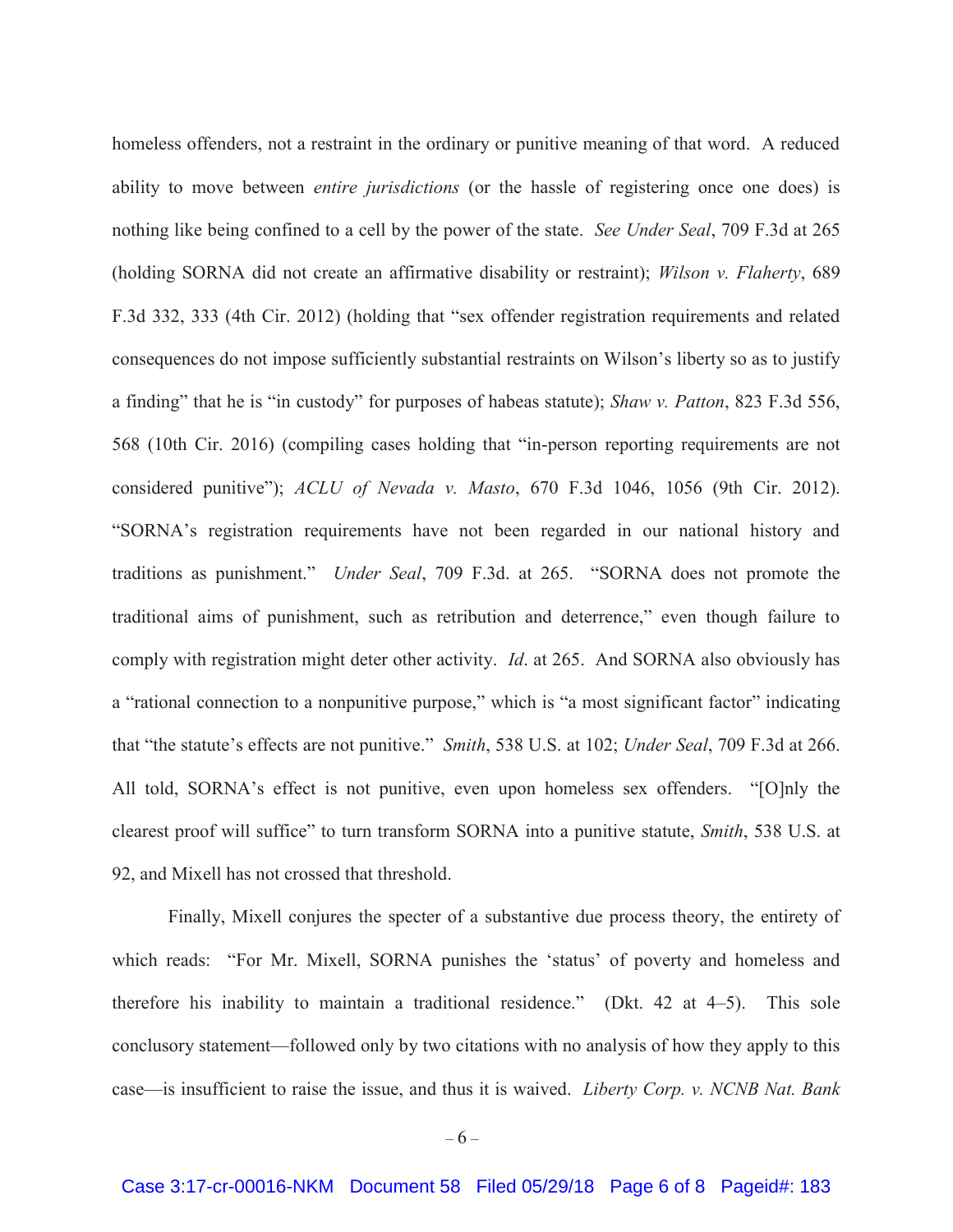homeless offenders, not a restraint in the ordinary or punitive meaning of that word. A reduced ability to move between *entire jurisdictions* (or the hassle of registering once one does) is nothing like being confined to a cell by the power of the state. *See Under Seal*, 709 F.3d at 265 (holding SORNA did not create an affirmative disability or restraint); *Wilson v. Flaherty*, 689 F.3d 332, 333 (4th Cir. 2012) (holding that "sex offender registration requirements and related consequences do not impose sufficiently substantial restraints on Wilson's liberty so as to justify a finding" that he is "in custody" for purposes of habeas statute); *Shaw v. Patton*, 823 F.3d 556, 568 (10th Cir. 2016) (compiling cases holding that "in-person reporting requirements are not considered punitive"); *ACLU of Nevada v. Masto*, 670 F.3d 1046, 1056 (9th Cir. 2012). "SORNA's registration requirements have not been regarded in our national history and traditions as punishment." *Under Seal*, 709 F.3d. at 265. "SORNA does not promote the traditional aims of punishment, such as retribution and deterrence," even though failure to comply with registration might deter other activity. *Id*. at 265. And SORNA also obviously has a "rational connection to a nonpunitive purpose," which is "a most significant factor" indicating that "the statute's effects are not punitive." *Smith*, 538 U.S. at 102; *Under Seal*, 709 F.3d at 266. All told, SORNA's effect is not punitive, even upon homeless sex offenders. "[O]nly the clearest proof will suffice" to turn transform SORNA into a punitive statute, *Smith*, 538 U.S. at 92, and Mixell has not crossed that threshold.

Finally, Mixell conjures the specter of a substantive due process theory, the entirety of which reads: "For Mr. Mixell, SORNA punishes the 'status' of poverty and homeless and therefore his inability to maintain a traditional residence." (Dkt. 42 at 4–5). This sole conclusory statement—followed only by two citations with no analysis of how they apply to this case—is insufficient to raise the issue, and thus it is waived. *Liberty Corp. v. NCNB Nat. Bank*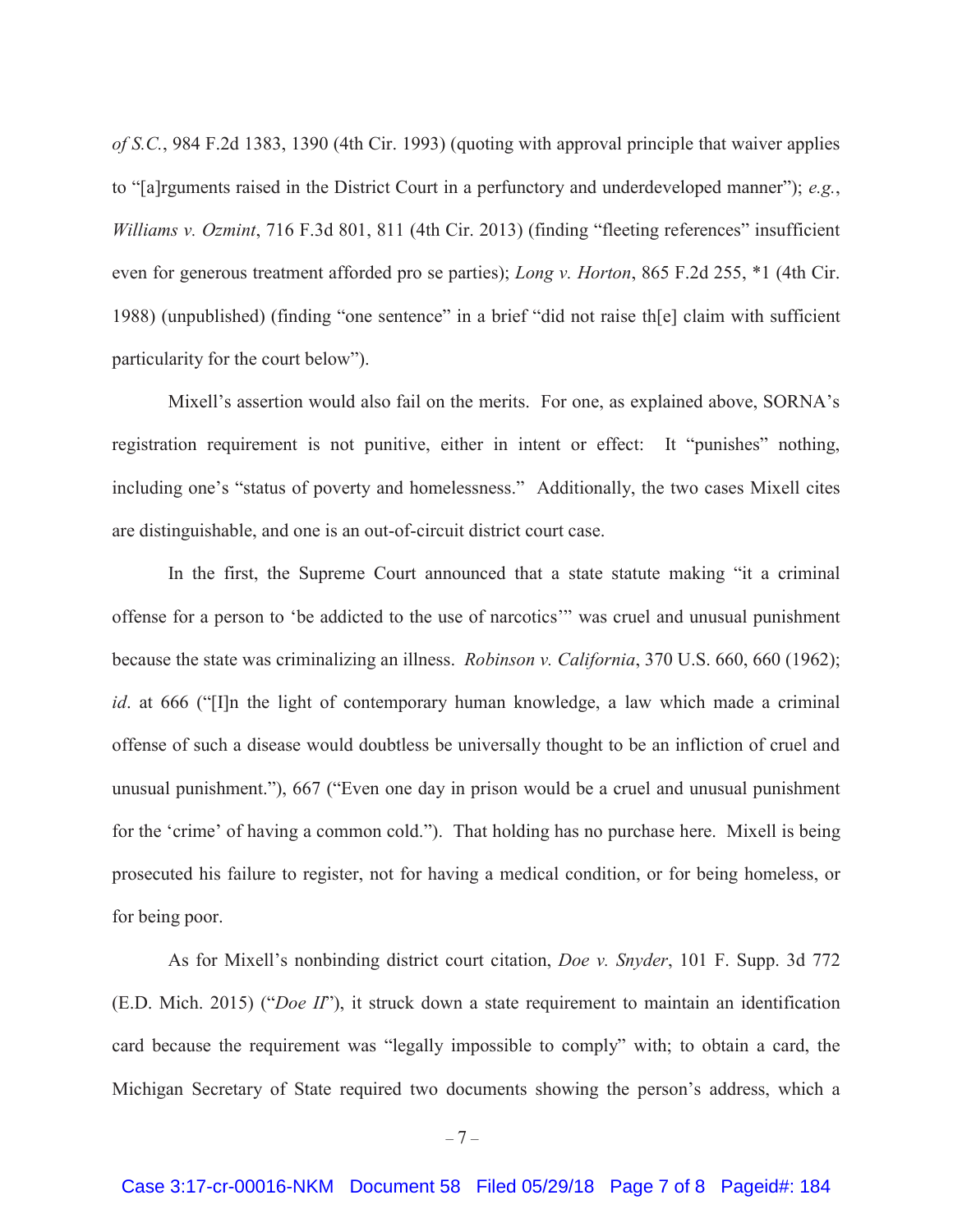*of S.C.*, 984 F.2d 1383, 1390 (4th Cir. 1993) (quoting with approval principle that waiver applies to "[a]rguments raised in the District Court in a perfunctory and underdeveloped manner"); *e.g.*, *Williams v. Ozmint*, 716 F.3d 801, 811 (4th Cir. 2013) (finding "fleeting references" insufficient even for generous treatment afforded pro se parties); *Long v. Horton*, 865 F.2d 255, \*1 (4th Cir. 1988) (unpublished) (finding "one sentence" in a brief "did not raise th[e] claim with sufficient particularity for the court below").

Mixell's assertion would also fail on the merits. For one, as explained above, SORNA's registration requirement is not punitive, either in intent or effect: It "punishes" nothing, including one's "status of poverty and homelessness." Additionally, the two cases Mixell cites are distinguishable, and one is an out-of-circuit district court case.

In the first, the Supreme Court announced that a state statute making "it a criminal offense for a person to 'be addicted to the use of narcotics'" was cruel and unusual punishment because the state was criminalizing an illness. *Robinson v. California*, 370 U.S. 660, 660 (1962); *id*. at 666 ("I]n the light of contemporary human knowledge, a law which made a criminal offense of such a disease would doubtless be universally thought to be an infliction of cruel and unusual punishment."), 667 ("Even one day in prison would be a cruel and unusual punishment for the 'crime' of having a common cold."). That holding has no purchase here. Mixell is being prosecuted his failure to register, not for having a medical condition, or for being homeless, or for being poor.

As for Mixell's nonbinding district court citation, *Doe v. Snyder*, 101 F. Supp. 3d 772 (E.D. Mich. 2015) ("*Doe II*"), it struck down a state requirement to maintain an identification card because the requirement was "legally impossible to comply" with; to obtain a card, the Michigan Secretary of State required two documents showing the person's address, which a